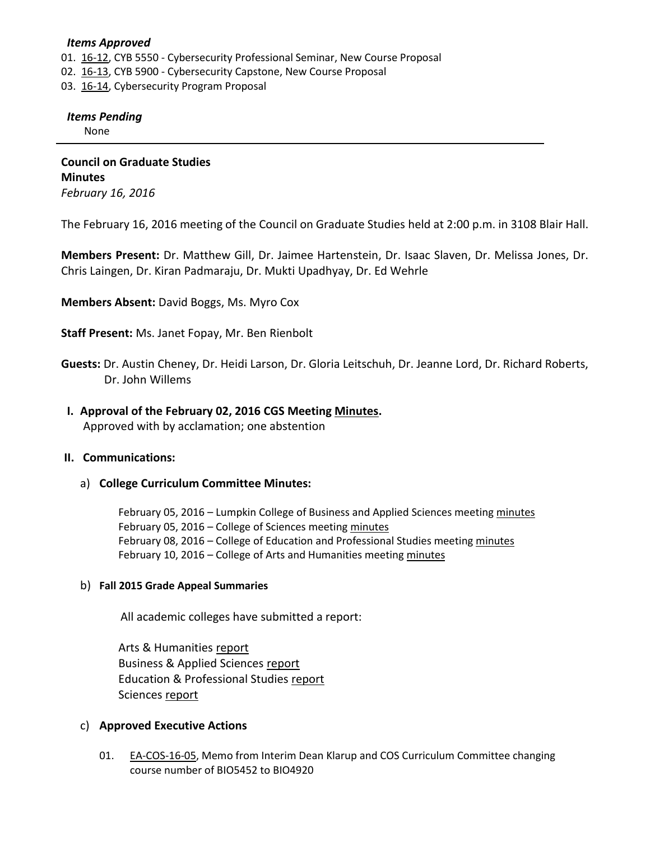## *Items Approved*

- 01. [16-12,](http://castle.eiu.edu/~eiucgs/currentagendaitems/agenda16-12.pdf) CYB 5550 Cybersecurity Professional Seminar, New Course Proposal
- 02. [16-13,](http://castle.eiu.edu/~eiucgs/currentagendaitems/agenda16-13.pdf) CYB 5900 Cybersecurity Capstone, New Course Proposal
- 03. [16-14,](http://castle.eiu.edu/~eiucgs/currentagendaitems/agenda16-14.pdf) Cybersecurity Program Proposal

## *Items Pending*

None

**Council on Graduate Studies Minutes** *February 16, 2016*

The February 16, 2016 meeting of the Council on Graduate Studies held at 2:00 p.m. in 3108 Blair Hall.

**Members Present:** Dr. Matthew Gill, Dr. Jaimee Hartenstein, Dr. Isaac Slaven, Dr. Melissa Jones, Dr. Chris Laingen, Dr. Kiran Padmaraju, Dr. Mukti Upadhyay, Dr. Ed Wehrle

**Members Absent:** David Boggs, Ms. Myro Cox

**Staff Present:** Ms. Janet Fopay, Mr. Ben Rienbolt

**Guests:** Dr. Austin Cheney, Dr. Heidi Larson, Dr. Gloria Leitschuh, Dr. Jeanne Lord, Dr. Richard Roberts, Dr. John Willems

### **I. Approval of the February 02, 2016 CGS Meeting [Minutes.](http://castle.eiu.edu/eiucgs/currentminutes/Minutes02-02-16.pdf)**

Approved with by acclamation; one abstention

## **II. Communications:**

#### a) **College Curriculum Committee Minutes:**

February 05, 2016 – Lumpkin College of Business and Applied Sciences meetin[g minutes](http://castle.eiu.edu/~eiucgs/currentagendaitems/LCBASMin02-05-16.pdf) February 05, 2016 – College of Sciences meeting [minutes](http://castle.eiu.edu/~eiucgs/currentagendaitems/COSMin02-05-16.pdf) February 08, 2016 – College of Education and Professional Studies meeting [minutes](http://castle.eiu.edu/~eiucgs/currentagendaitems/CEPSMin02-08-16.pdf) February 10, 2016 – College of Arts and Humanities meeting [minutes](http://castle.eiu.edu/~eiucgs/currentagendaitems/CAHMin02-10-16.pdf)

#### b) **Fall 2015 Grade Appeal Summaries**

All academic colleges have submitted a report:

Arts & Humanities [report](http://castle.eiu.edu/~eiucgs/documents/GradeAppealFA15CAH.pdf) Business & Applied Sciences [report](http://castle.eiu.edu/~eiucgs/documents/GradeAppealFA15LCBAS.pdf) Education & Professional Studies [report](http://castle.eiu.edu/~eiucgs/documents/GradeAppealFA15CEPS.pdf) Sciences [report](http://castle.eiu.edu/~eiucgs/documents/GradeAppealFA15COS.pdf)

#### c) **Approved Executive Actions**

01. [EA-COS-16-05,](http://castle.eiu.edu/~eiucgs/exec-actions/EA-COS-16-05.pdf) Memo from Interim Dean Klarup and COS Curriculum Committee changing course number of BIO5452 to BIO4920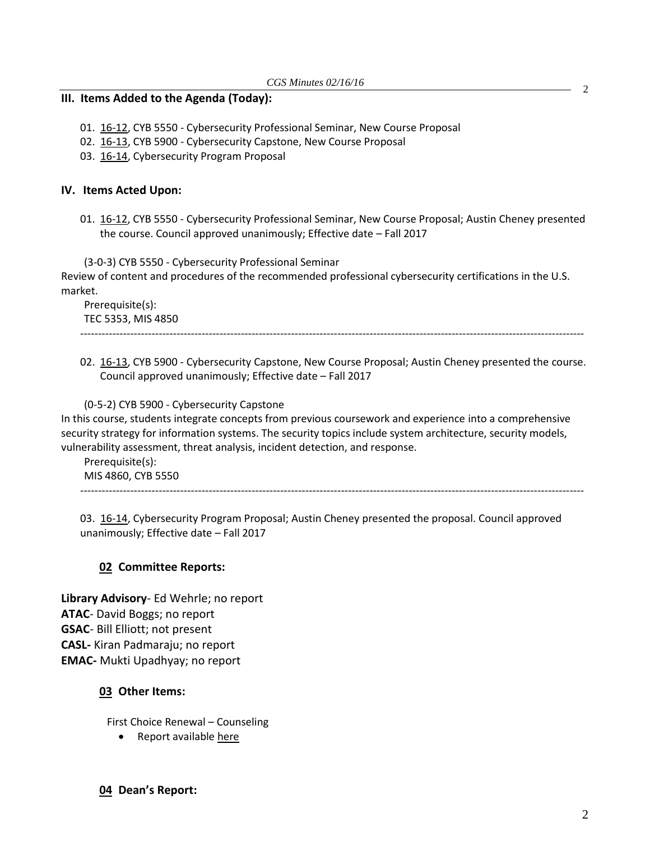## **III. Items Added to the Agenda (Today):**

- 01. [16-12,](http://castle.eiu.edu/~eiucgs/currentagendaitems/agenda16-12.pdf) CYB 5550 Cybersecurity Professional Seminar, New Course Proposal
- 02. [16-13,](http://castle.eiu.edu/~eiucgs/currentagendaitems/agenda16-13.pdf) CYB 5900 Cybersecurity Capstone, New Course Proposal
- 03. [16-14,](http://castle.eiu.edu/~eiucgs/currentagendaitems/agenda16-14.pdf) Cybersecurity Program Proposal

# **IV. Items Acted Upon:**

01. [16-12,](http://castle.eiu.edu/~eiucgs/currentagendaitems/agenda16-12.pdf) CYB 5550 - Cybersecurity Professional Seminar, New Course Proposal; Austin Cheney presented the course. Council approved unanimously; Effective date – Fall 2017

(3-0-3) CYB 5550 - Cybersecurity Professional Seminar

Review of content and procedures of the recommended professional cybersecurity certifications in the U.S. market.

Prerequisite(s): TEC 5353, MIS 4850 ---------------------------------------------------------------------------------------------------------------------------------------------

02. [16-13,](http://castle.eiu.edu/~eiucgs/currentagendaitems/agenda16-13.pdf) CYB 5900 - Cybersecurity Capstone, New Course Proposal; Austin Cheney presented the course. Council approved unanimously; Effective date – Fall 2017

(0-5-2) CYB 5900 - Cybersecurity Capstone In this course, students integrate concepts from previous coursework and experience into a comprehensive security strategy for information systems. The security topics include system architecture, security models, vulnerability assessment, threat analysis, incident detection, and response.

Prerequisite(s): MIS 4860, CYB 5550

---------------------------------------------------------------------------------------------------------------------------------------------

03. [16-14,](http://castle.eiu.edu/~eiucgs/currentagendaitems/agenda16-14.pdf) Cybersecurity Program Proposal; Austin Cheney presented the proposal. Council approved unanimously; Effective date – Fall 2017

# **02 Committee Reports:**

**Library Advisory**- Ed Wehrle; no report **ATAC**- David Boggs; no report **GSAC**- Bill Elliott; not present **CASL-** Kiran Padmaraju; no report **EMAC-** Mukti Upadhyay; no report

# **03 Other Items:**

First Choice Renewal – Counseling

Report availabl[e here](http://castle.eiu.edu/~eiucgs/currentagendaitems/Counseling_FirstChoiceReport_2016_Final.pdf)

2